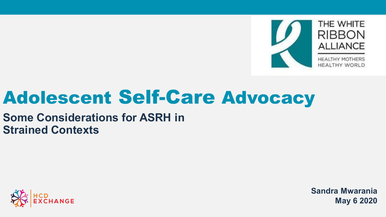

# Adolescent Self-Care Advocacy

### **Some Considerations for ASRH in Strained Contexts**



**Sandra Mwarania May 6 2020**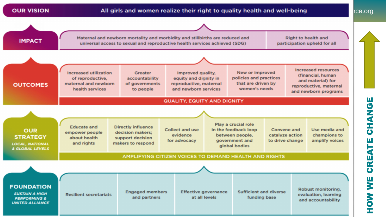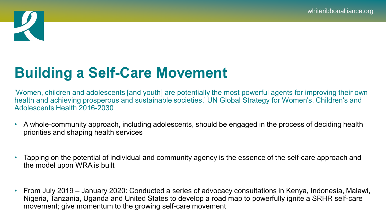

## **Building a Self-Care Movement**

'Women, children and adolescents [and youth] are potentially the most powerful agents for improving their own health and achieving prosperous and sustainable societies.' UN Global Strategy for Women's, Children's and Adolescents Health 2016-2030

- A whole-community approach, including adolescents, should be engaged in the process of deciding health priorities and shaping health services
- Tapping on the potential of individual and community agency is the essence of the self-care approach and the model upon WRA is built
- From July 2019 January 2020: Conducted a series of advocacy consultations in Kenya, Indonesia, Malawi, Nigeria, Tanzania, Uganda and United States to develop a road map to powerfully ignite a SRHR self-care movement; give momentum to the growing self-care movement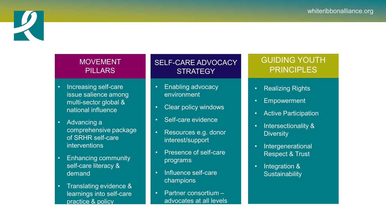

#### **MOVEMENT** PILLARS

- Increasing self-care issue salience among multi-sector global & national influence
- Advancing a comprehensive package of SRHR self-care interventions
- Enhancing community self-care literacy & demand
- Translating evidence & learnings into self-care practice & policy

#### SELF-CARE ADVOCACY **STRATEGY**

- Enabling advocacy environment
- Clear policy windows
- Self-care evidence
- Resources e.g. donor interest/support
- Presence of self-care programs
- Influence self-care champions
- Partner consortium advocates at all levels

#### GUIDING YOUTH **PRINCIPLES**

- Realizing Rights
- Empowerment
- Active Participation
- Intersectionality & **Diversity**
- Intergenerational Respect & Trust
- Integration & **Sustainability**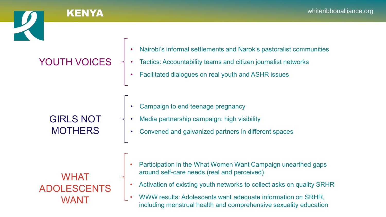#### YOUTH VOICES • Nairobi's informal settlements and Narok's pastoralist communities • Tactics: Accountability teams and citizen journalist networks • Facilitated dialogues on real youth and ASHR issues GIRLS NOT **MOTHERS** • Campaign to end teenage pregnancy • Media partnership campaign: high visibility • Convened and galvanized partners in different spaces WHAT ADOLESCENTS WANT • Participation in the What Women Want Campaign unearthed gaps around self-care needs (real and perceived) • Activation of existing youth networks to collect asks on quality SRHR • WWW results: Adolescents want adequate information on SRHR, including menstrual health and comprehensive sexuality education

KENYA